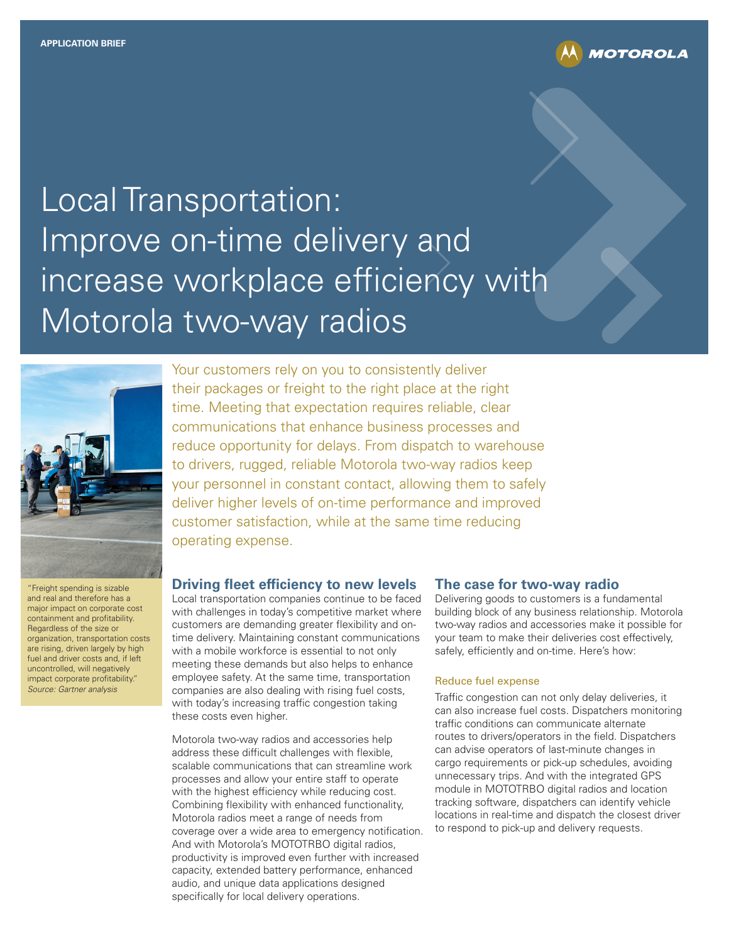

# Local Transportation: Improve on-time delivery and increase workplace efficiency with Motorola two-way radios



"Freight spending is sizable and real and therefore has a major impact on corporate cost containment and profitability. Regardless of the size or organization, transportation costs are rising, driven largely by high fuel and driver costs and, if left uncontrolled, will negatively impact corporate profitability." Source: Gartner analysis

Your customers rely on you to consistently deliver their packages or freight to the right place at the right time. Meeting that expectation requires reliable, clear communications that enhance business processes and reduce opportunity for delays. From dispatch to warehouse to drivers, rugged, reliable Motorola two-way radios keep your personnel in constant contact, allowing them to safely deliver higher levels of on-time performance and improved customer satisfaction, while at the same time reducing operating expense.

# **Driving fleet efficiency to new levels**

Local transportation companies continue to be faced with challenges in today's competitive market where customers are demanding greater flexibility and ontime delivery. Maintaining constant communications with a mobile workforce is essential to not only meeting these demands but also helps to enhance employee safety. At the same time, transportation companies are also dealing with rising fuel costs, with today's increasing traffic congestion taking these costs even higher.

Motorola two-way radios and accessories help address these difficult challenges with flexible, scalable communications that can streamline work processes and allow your entire staff to operate with the highest efficiency while reducing cost. Combining flexibility with enhanced functionality, Motorola radios meet a range of needs from coverage over a wide area to emergency notification. And with Motorola's MOTOTRBO digital radios, productivity is improved even further with increased capacity, extended battery performance, enhanced audio, and unique data applications designed specifically for local delivery operations.

#### **The case for two-way radio**

Delivering goods to customers is a fundamental building block of any business relationship. Motorola two-way radios and accessories make it possible for your team to make their deliveries cost effectively, safely, efficiently and on-time. Here's how:

#### Reduce fuel expense

Traffic congestion can not only delay deliveries, it can also increase fuel costs. Dispatchers monitoring traffic conditions can communicate alternate routes to drivers/operators in the field. Dispatchers can advise operators of last-minute changes in cargo requirements or pick-up schedules, avoiding unnecessary trips. And with the integrated GPS module in MOTOTRBO digital radios and location tracking software, dispatchers can identify vehicle locations in real-time and dispatch the closest driver to respond to pick-up and delivery requests.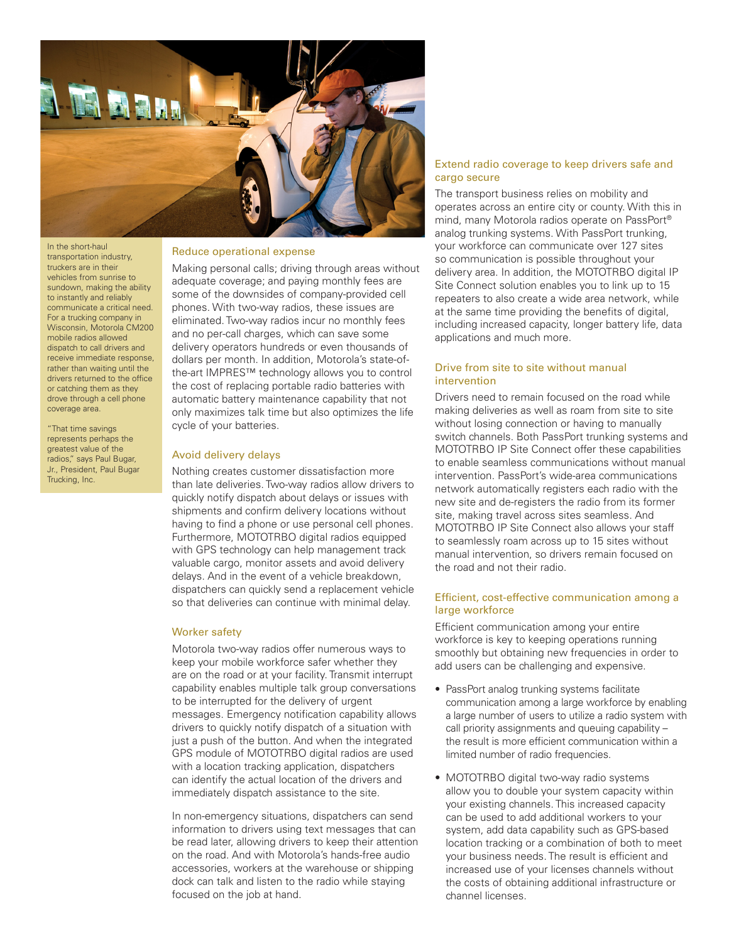

In the short-haul transportation industry, truckers are in their vehicles from sunrise to sundown, making the ability to instantly and reliably communicate a critical need. For a trucking company in Wisconsin, Motorola CM200 mobile radios allowed dispatch to call drivers and receive immediate response, rather than waiting until the drivers returned to the office or catching them as they drove through a cell phone coverage area.

"That time savings represents perhaps the greatest value of the radios," says Paul Bugar, Jr., President, Paul Bugar Trucking, Inc.

#### Reduce operational expense

Making personal calls; driving through areas without adequate coverage; and paying monthly fees are some of the downsides of company-provided cell phones. With two-way radios, these issues are eliminated. Two-way radios incur no monthly fees and no per-call charges, which can save some delivery operators hundreds or even thousands of dollars per month. In addition, Motorola's state-ofthe-art IMPRES™ technology allows you to control the cost of replacing portable radio batteries with automatic battery maintenance capability that not only maximizes talk time but also optimizes the life cycle of your batteries.

#### Avoid delivery delays

Nothing creates customer dissatisfaction more than late deliveries. Two-way radios allow drivers to quickly notify dispatch about delays or issues with shipments and confirm delivery locations without having to find a phone or use personal cell phones. Furthermore, MOTOTRBO digital radios equipped with GPS technology can help management track valuable cargo, monitor assets and avoid delivery delays. And in the event of a vehicle breakdown, dispatchers can quickly send a replacement vehicle so that deliveries can continue with minimal delay.

#### Worker safety

Motorola two-way radios offer numerous ways to keep your mobile workforce safer whether they are on the road or at your facility. Transmit interrupt capability enables multiple talk group conversations to be interrupted for the delivery of urgent messages. Emergency notification capability allows drivers to quickly notify dispatch of a situation with just a push of the button. And when the integrated GPS module of MOTOTRBO digital radios are used with a location tracking application, dispatchers can identify the actual location of the drivers and immediately dispatch assistance to the site.

In non-emergency situations, dispatchers can send information to drivers using text messages that can be read later, allowing drivers to keep their attention on the road. And with Motorola's hands-free audio accessories, workers at the warehouse or shipping dock can talk and listen to the radio while staying focused on the job at hand.

# Extend radio coverage to keep drivers safe and cargo secure

The transport business relies on mobility and operates across an entire city or county. With this in mind, many Motorola radios operate on PassPort® analog trunking systems. With PassPort trunking, your workforce can communicate over 127 sites so communication is possible throughout your delivery area. In addition, the MOTOTRBO digital IP Site Connect solution enables you to link up to 15 repeaters to also create a wide area network, while at the same time providing the benefits of digital, including increased capacity, longer battery life, data applications and much more.

# Drive from site to site without manual intervention

Drivers need to remain focused on the road while making deliveries as well as roam from site to site without losing connection or having to manually switch channels. Both PassPort trunking systems and MOTOTRBO IP Site Connect offer these capabilities to enable seamless communications without manual intervention. PassPort's wide-area communications network automatically registers each radio with the new site and de-registers the radio from its former site, making travel across sites seamless. And MOTOTRBO IP Site Connect also allows your staff to seamlessly roam across up to 15 sites without manual intervention, so drivers remain focused on the road and not their radio.

#### Efficient, cost-effective communication among a large workforce

Efficient communication among your entire workforce is key to keeping operations running smoothly but obtaining new frequencies in order to add users can be challenging and expensive.

- PassPort analog trunking systems facilitate communication among a large workforce by enabling a large number of users to utilize a radio system with call priority assignments and queuing capability – the result is more efficient communication within a limited number of radio frequencies.
- MOTOTRBO digital two-way radio systems allow you to double your system capacity within your existing channels. This increased capacity can be used to add additional workers to your system, add data capability such as GPS-based location tracking or a combination of both to meet your business needs. The result is efficient and increased use of your licenses channels without the costs of obtaining additional infrastructure or channel licenses.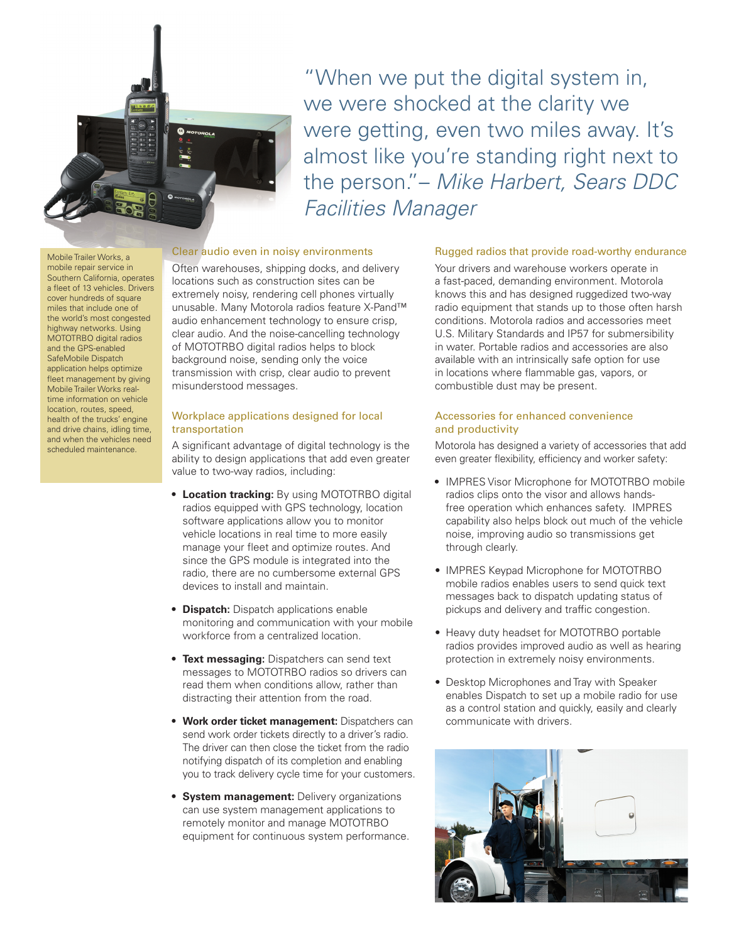

"When we put the digital system in, we were shocked at the clarity we were getting, even two miles away. It's almost like you're standing right next to the person."– Mike Harbert, Sears DDC Facilities Manager

#### Mobile Trailer Works, a mobile repair service in Southern California, operates a fleet of 13 vehicles. Drivers cover hundreds of square miles that include one of the world's most congested highway networks. Using MOTOTRBO digital radios and the GPS-enabled SafeMobile Dispatch application helps optimize fleet management by giving Mobile Trailer Works realtime information on vehicle location, routes, speed, health of the trucks' engine and drive chains, idling time, and when the vehicles need scheduled maintenance.

# Clear audio even in noisy environments

Often warehouses, shipping docks, and delivery locations such as construction sites can be extremely noisy, rendering cell phones virtually unusable. Many Motorola radios feature X-Pand™ audio enhancement technology to ensure crisp, clear audio. And the noise-cancelling technology of MOTOTRBO digital radios helps to block background noise, sending only the voice transmission with crisp, clear audio to prevent misunderstood messages.

# Workplace applications designed for local transportation

A significant advantage of digital technology is the ability to design applications that add even greater value to two-way radios, including:

- **• Location tracking:** By using MOTOTRBO digital radios equipped with GPS technology, location software applications allow you to monitor vehicle locations in real time to more easily manage your fleet and optimize routes. And since the GPS module is integrated into the radio, there are no cumbersome external GPS devices to install and maintain.
- **• Dispatch:** Dispatch applications enable monitoring and communication with your mobile workforce from a centralized location.
- **• Text messaging:** Dispatchers can send text messages to MOTOTRBO radios so drivers can read them when conditions allow, rather than distracting their attention from the road.
- **• Work order ticket management:** Dispatchers can send work order tickets directly to a driver's radio. The driver can then close the ticket from the radio notifying dispatch of its completion and enabling you to track delivery cycle time for your customers.
- **• System management:** Delivery organizations can use system management applications to remotely monitor and manage MOTOTRBO equipment for continuous system performance.

#### Rugged radios that provide road-worthy endurance

Your drivers and warehouse workers operate in a fast-paced, demanding environment. Motorola knows this and has designed ruggedized two-way radio equipment that stands up to those often harsh conditions. Motorola radios and accessories meet U.S. Military Standards and IP57 for submersibility in water. Portable radios and accessories are also available with an intrinsically safe option for use in locations where flammable gas, vapors, or combustible dust may be present.

#### Accessories for enhanced convenience and productivity

Motorola has designed a variety of accessories that add even greater flexibility, efficiency and worker safety:

- **•** IMPRES Visor Microphone for MOTOTRBO mobile radios clips onto the visor and allows handsfree operation which enhances safety. IMPRES capability also helps block out much of the vehicle noise, improving audio so transmissions get through clearly.
- IMPRES Keypad Microphone for MOTOTRBO mobile radios enables users to send quick text messages back to dispatch updating status of pickups and delivery and traffic congestion.
- Heavy duty headset for MOTOTRBO portable radios provides improved audio as well as hearing protection in extremely noisy environments.
- Desktop Microphones and Tray with Speaker enables Dispatch to set up a mobile radio for use as a control station and quickly, easily and clearly communicate with drivers.